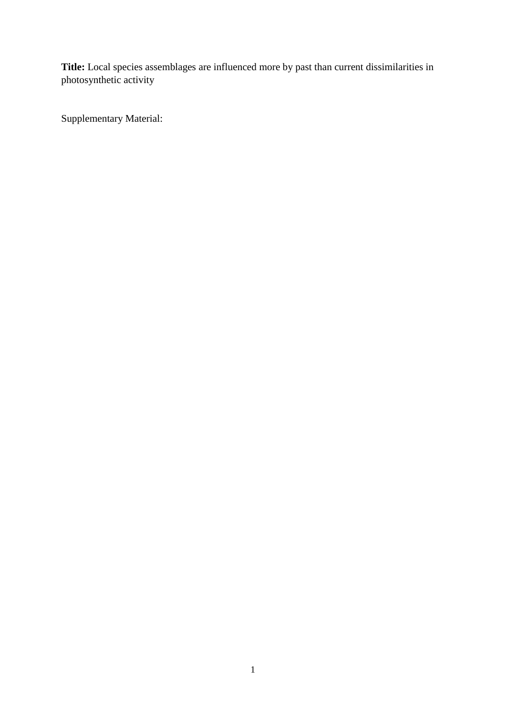**Title:** Local species assemblages are influenced more by past than current dissimilarities in photosynthetic activity

Supplementary Material: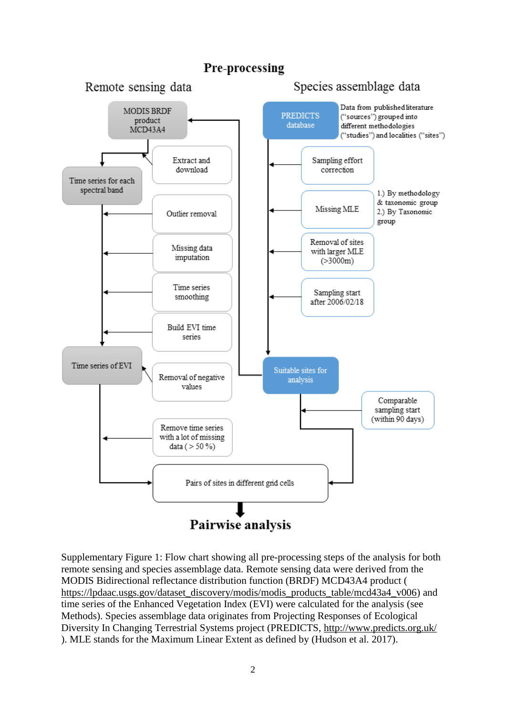## Pre-processing



Supplementary Figure 1: Flow chart showing all pre-processing steps of the analysis for both remote sensing and species assemblage data. Remote sensing data were derived from the MODIS Bidirectional reflectance distribution function (BRDF) MCD43A4 product ( [https://lpdaac.usgs.gov/dataset\\_discovery/modis/modis\\_products\\_table/mcd43a4\\_v006\)](https://lpdaac.usgs.gov/dataset_discovery/modis/modis_products_table/mcd43a4_v006) and time series of the Enhanced Vegetation Index (EVI) were calculated for the analysis (see Methods). Species assemblage data originates from Projecting Responses of Ecological Diversity In Changing Terrestrial Systems project (PREDICTS,<http://www.predicts.org.uk/> ). MLE stands for the Maximum Linear Extent as defined by (Hudson et al. 2017).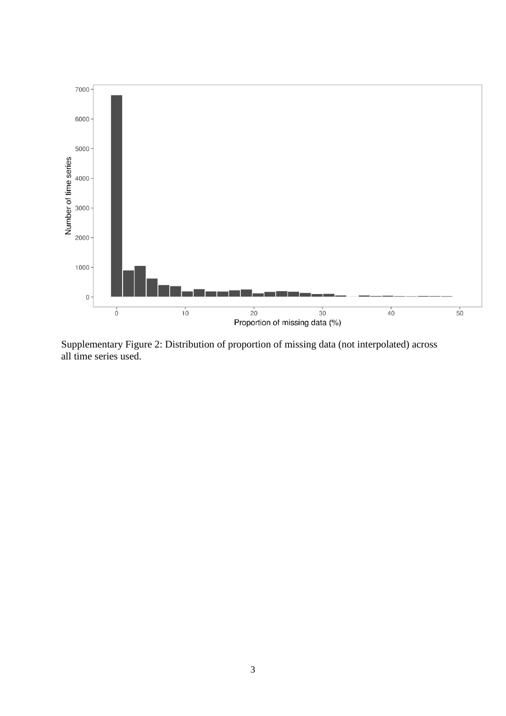

Supplementary Figure 2: Distribution of proportion of missing data (not interpolated) across all time series used.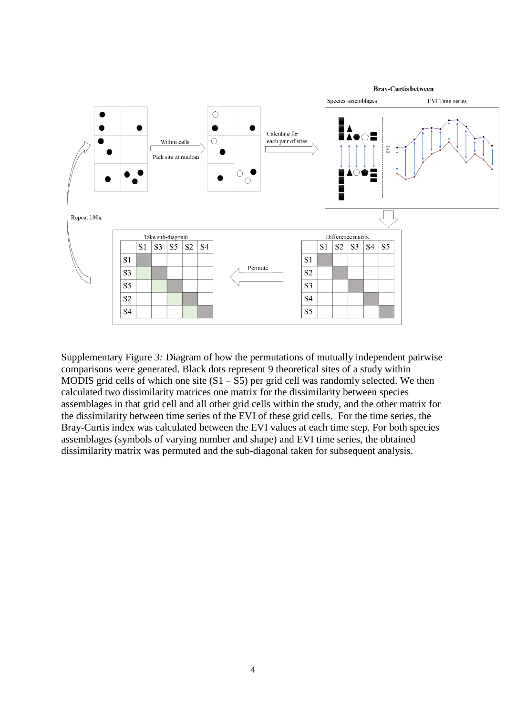

Supplementary Figure *3:* Diagram of how the permutations of mutually independent pairwise comparisons were generated. Black dots represent 9 theoretical sites of a study within MODIS grid cells of which one site  $(S1 - S5)$  per grid cell was randomly selected. We then calculated two dissimilarity matrices one matrix for the dissimilarity between species assemblages in that grid cell and all other grid cells within the study, and the other matrix for the dissimilarity between time series of the EVI of these grid cells. For the time series, the Bray-Curtis index was calculated between the EVI values at each time step. For both species assemblages (symbols of varying number and shape) and EVI time series, the obtained dissimilarity matrix was permuted and the sub-diagonal taken for subsequent analysis.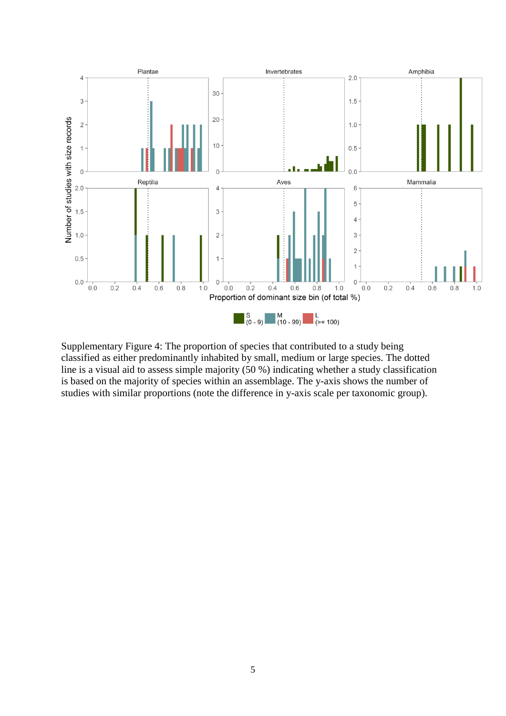

Supplementary Figure 4: The proportion of species that contributed to a study being classified as either predominantly inhabited by small, medium or large species. The dotted line is a visual aid to assess simple majority (50 %) indicating whether a study classification is based on the majority of species within an assemblage. The y-axis shows the number of studies with similar proportions (note the difference in y-axis scale per taxonomic group).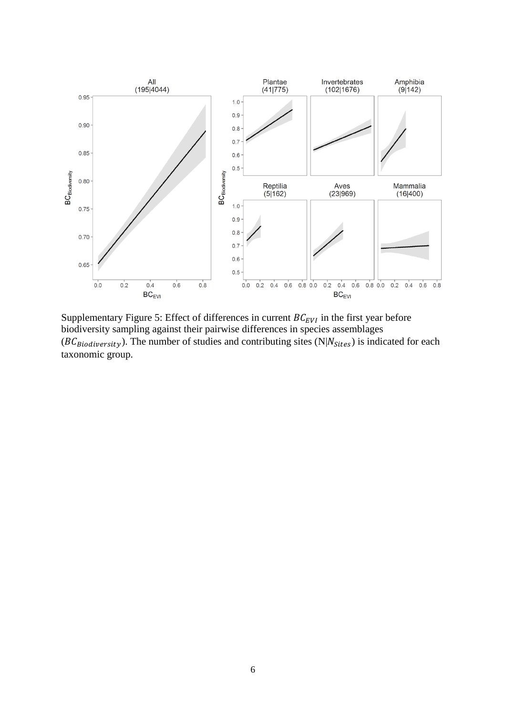

Supplementary Figure 5: Effect of differences in current  $BC_{EVI}$  in the first year before biodiversity sampling against their pairwise differences in species assemblages  $(BC_{Biodiversity})$ . The number of studies and contributing sites (N| $N_{Stes}$ ) is indicated for each taxonomic group.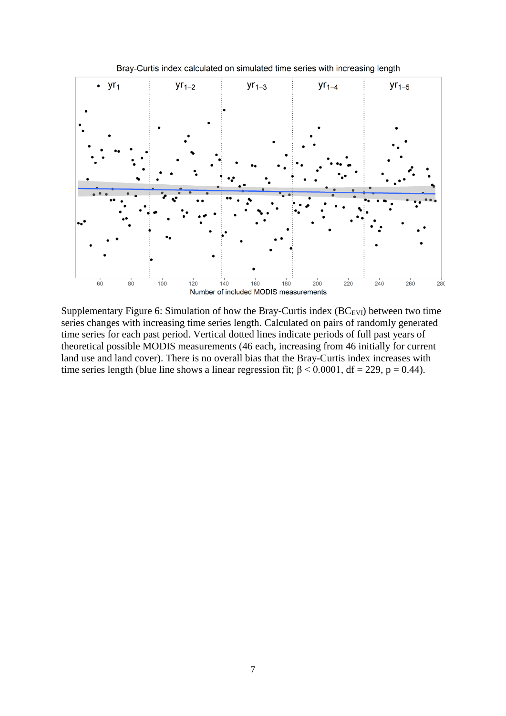

Supplementary Figure 6: Simulation of how the Bray-Curtis index  $(BC_{EVI})$  between two time series changes with increasing time series length. Calculated on pairs of randomly generated time series for each past period. Vertical dotted lines indicate periods of full past years of theoretical possible MODIS measurements (46 each, increasing from 46 initially for current land use and land cover). There is no overall bias that the Bray-Curtis index increases with time series length (blue line shows a linear regression fit;  $\beta$  < 0.0001, df = 229, p = 0.44).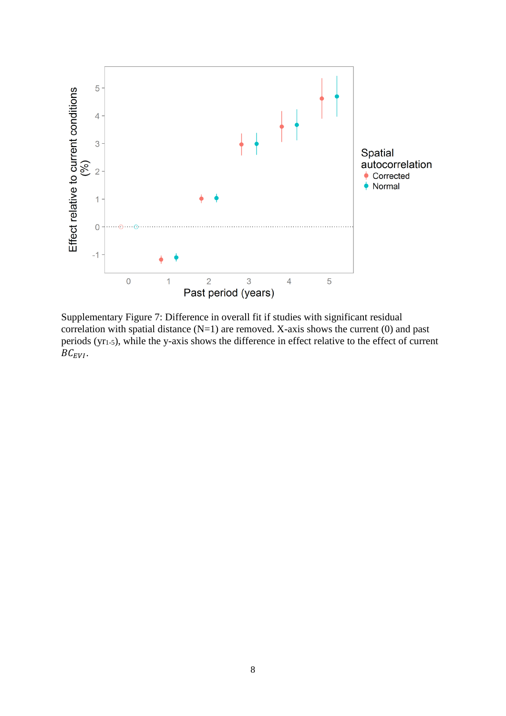

Supplementary Figure 7: Difference in overall fit if studies with significant residual correlation with spatial distance  $(N=1)$  are removed. X-axis shows the current  $(0)$  and past periods (yr1-5), while the y-axis shows the difference in effect relative to the effect of current  $BC_{EVI}$ .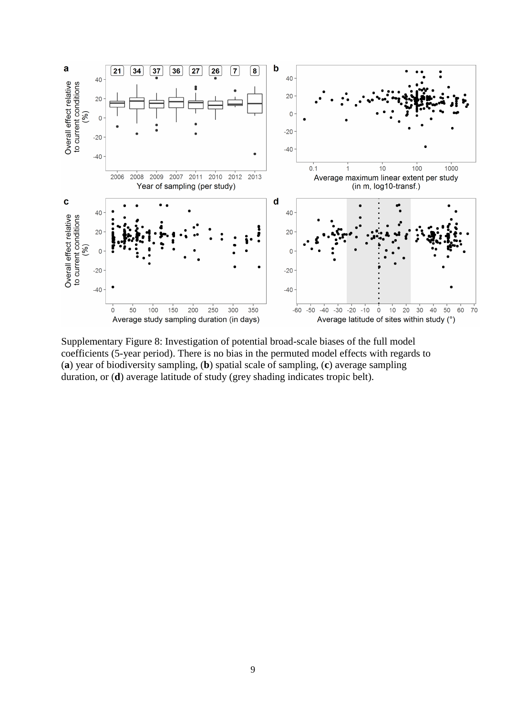

Supplementary Figure 8: Investigation of potential broad-scale biases of the full model coefficients (5-year period). There is no bias in the permuted model effects with regards to (**a**) year of biodiversity sampling, (**b**) spatial scale of sampling, (**c**) average sampling duration, or (**d**) average latitude of study (grey shading indicates tropic belt).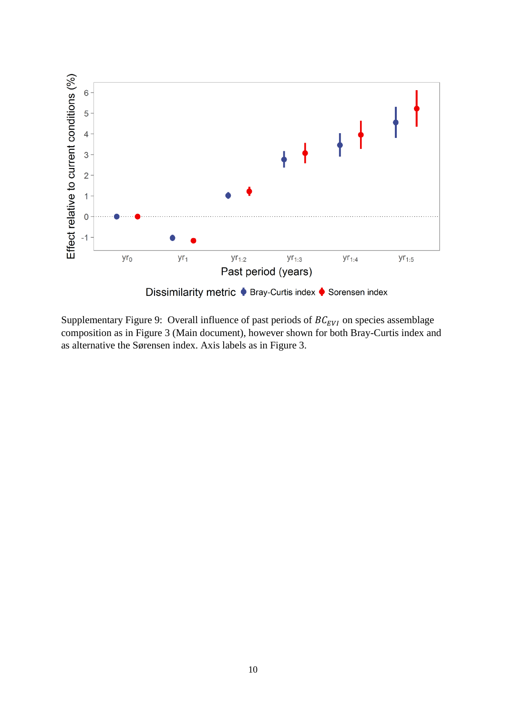

Supplementary Figure 9: Overall influence of past periods of  $BC_{EVI}$  on species assemblage composition as in Figure 3 (Main document), however shown for both Bray-Curtis index and as alternative the Sørensen index. Axis labels as in Figure 3.